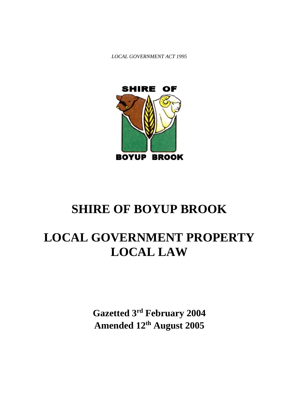*LOCAL GOVERNMENT ACT 1995*



# **SHIRE OF BOYUP BROOK**

# **LOCAL GOVERNMENT PROPERTY LOCAL LAW**

**Gazetted 3rd February 2004 Amended 12 th August 2005**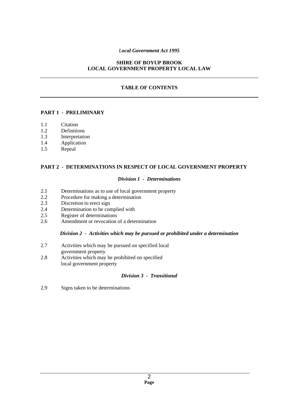# *Local Government Act 1995*

# **SHIRE OF BOYUP BROOK LOCAL GOVERNMENT PROPERTY LOCAL LAW**

# **TABLE OF CONTENTS**

# **PART 1 - PRELIMINARY**

- 1.1 Citation
- 1.2 Definitions
- 1.3 Interpretation
- 1.4 Application
- 1.5 Repeal

#### **PART 2 - DETERMINATIONS IN RESPECT OF LOCAL GOVERNMENT PROPERTY**

#### *Division 1 - Determinations*

- 2.1 Determinations as to use of local government property
- 2.2 Procedure for making a determination
- 2.3 Discretion to erect sign
- 2.4 Determination to be complied with
- 2.5 Register of determinations
- 2.6 Amendment or revocation of a determination

#### *Division 2 - Activities which may be pursued or prohibited under a determination*

- 2.7 Activities which may be pursued on specified local government property
- 2.8 Activities which may be prohibited on specified local government property

#### *Division 3 - Transitional*

2.9 Signs taken to be determinations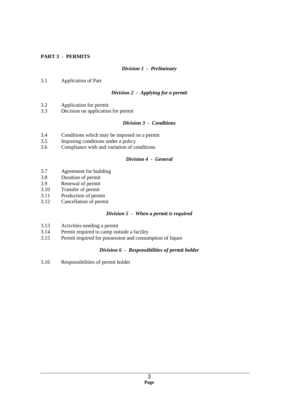# **PART 3 - PERMITS**

# *Division 1 - Preliminary*

3.1 Application of Part

# *Division 2 - Applying for a permit*

- 3.2 Application for permit
- 3.3 Decision on application for permit

# *Division 3 - Conditions*

- 3.4 Conditions which may be imposed on a permit
- 3.5 Imposing conditions under a policy
- 3.6 Compliance with and variation of conditions

#### *Division 4 - General*

- 3.7 Agreement for building
- 3.8 Duration of permit
- 3.9 Renewal of permit<br>3.10 Transfer of permit
- Transfer of permit
- 3.11 Production of permit<br>3.12 Cancellation of permi
- Cancellation of permit

# *Division 5 - When a permit is required*

- 3.13 Activities needing a permit
- 3.14 Permit required to camp outside a facility<br>3.15 Permit required for possession and consum
- Permit required for possession and consumption of liquor

# *Division 6 - Responsibilities of permit holder*

3.16 Responsibilities of permit holder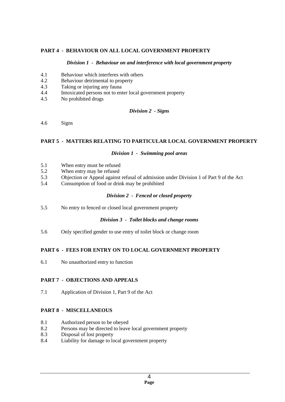# **PART 4 - BEHAVIOUR ON ALL LOCAL GOVERNMENT PROPERTY**

#### *Division 1 - Behaviour on and interference with local government property*

- 4.1 Behaviour which interferes with others
- 4.2 Behaviour detrimental to property<br>4.3 Taking or injuring any fauna
- Taking or injuring any fauna
- 4.4 Intoxicated persons not to enter local government property
- 4.5 No prohibited drugs

#### *Division 2 - Signs*

4.6 Signs

# **PART 5 - MATTERS RELATING TO PARTICULAR LOCAL GOVERNMENT PROPERTY**

#### *Division 1 - Swimming pool areas*

- 5.1 When entry must be refused
- 5.2 When entry may be refused
- 5.3 Objection or Appeal against refusal of admission under Division 1 of Part 9 of the Act
- 5.4 Consumption of food or drink may be prohibited

# *Division 2 - Fenced or closed property*

5.5 No entry to fenced or closed local government property

# *Division 3 - Toilet blocks and change rooms*

5.6 Only specified gender to use entry of toilet block or change room

# **PART 6 - FEES FOR ENTRY ON TO LOCAL GOVERNMENT PROPERTY**

6.1 No unauthorized entry to function

# **PART 7 - OBJECTIONS AND APPEALS**

7.1 Application of Division 1, Part 9 of the Act

# **PART 8 - MISCELLANEOUS**

- 8.1 Authorized person to be obeyed
- 8.2 Persons may be directed to leave local government property
- 8.3 Disposal of lost property
- 8.4 Liability for damage to local government property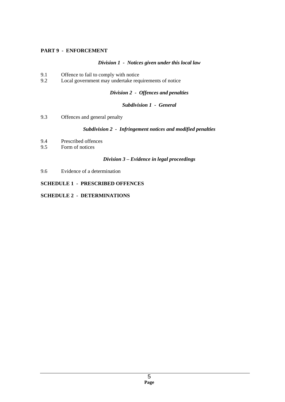# **PART 9 - ENFORCEMENT**

# *Division 1 - Notices given under this local law*

- 9.1 Offence to fail to comply with notice<br>9.2 Local government may undertake require
- Local government may undertake requirements of notice

*Division 2 - Offences and penalties*

#### *Subdivision 1 - General*

9.3 Offences and general penalty

#### *Subdivision 2 - Infringement notices and modified penalties*

- 9.4 Prescribed offences<br>9.5 Form of notices
- Form of notices

# *Division 3 – Evidence in legal proceedings*

9.6 Evidence of a determination

# **SCHEDULE 1 - PRESCRIBED OFFENCES**

# **SCHEDULE 2 - DETERMINATIONS**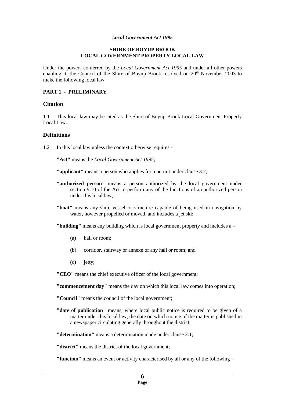#### *Local Government Act 1995*

#### **SHIRE OF BOYUP BROOK LOCAL GOVERNMENT PROPERTY LOCAL LAW**

Under the powers conferred by the *Local Government Act 1995* and under all other powers enabling it, the Council of the Shire of Boyup Brook resolved on  $20<sup>th</sup>$  November 2003 to make the following local law.

# **PART 1 - PRELIMINARY**

# **Citation**

1.1 This local law may be cited as the Shire of Boyup Brook Local Government Property Local Law.

#### **Definitions**

1.2 In this local law unless the context otherwise requires -

**"Act"** means the *Local Government Act 1995*;

**"applicant"** means a person who applies for a permit under clause 3.2;

- **"authorized person"** means a person authorized by the local government under section 9.10 of the Act to perform any of the functions of an authorized person under this local law;
- **"boat"** means any ship, vessel or structure capable of being used in navigation by water, however propelled or moved, and includes a jet ski;

**"building"** means any building which is local government property and includes a –

- (a) hall or room;
- (b) corridor, stairway or annexe of any hall or room; and
- (c) jetty;

**"CEO"** means the chief executive officer of the local government;

**"commencement day"** means the day on which this local law comes into operation;

**"Council"** means the council of the local government;

**"date of publication"** means, where local public notice is required to be given of a matter under this local law, the date on which notice of the matter is published in a newspaper circulating generally throughout the district;

**"determination"** means a determination made under clause 2.1;

**"district"** means the district of the local government;

**"function"** means an event or activity characterised by all or any of the following –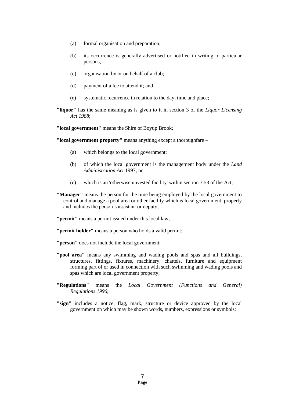- (a) formal organisation and preparation;
- (b) its occurrence is generally advertised or notified in writing to particular persons;
- (c) organisation by or on behalf of a club;
- (d) payment of a fee to attend it; and
- (e) systematic recurrence in relation to the day, time and place;
- **"liquor"** has the same meaning as is given to it in section 3 of the *Liquor Licensing Act 1988*;

**"local government"** means the Shire of Boyup Brook*;*

**"local government property"** means anything except a thoroughfare –

- (a) which belongs to the local government;
- (b) of which the local government is the management body under the *Land Administration Act* 1997; or
- (c) which is an 'otherwise unvested facility' within section 3.53 of the Act;
- **"Manager"** means the person for the time being employed by the local government to control and manage a pool area or other facility which is local government property and includes the person's assistant or deputy;

**"permit"** means a permit issued under this local law;

**"permit holder"** means a person who holds a valid permit;

**"person"** does not include the local government;

- **"pool area"** means any swimming and wading pools and spas and all buildings, structures, fittings, fixtures, machinery, chattels, furniture and equipment forming part of or used in connection with such swimming and wading pools and spas which are local government property;
- **"Regulations"** means the *Local Government (Functions and General) Regulations 1996*;
- **"sign"** includes a notice, flag, mark, structure or device approved by the local government on which may be shown words, numbers, expressions or symbols;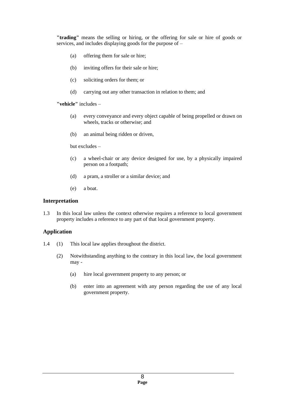**"trading"** means the selling or hiring, or the offering for sale or hire of goods or services, and includes displaying goods for the purpose of –

- (a) offering them for sale or hire;
- (b) inviting offers for their sale or hire;
- (c) soliciting orders for them; or
- (d) carrying out any other transaction in relation to them; and

**"vehicle"** includes –

- (a) every conveyance and every object capable of being propelled or drawn on wheels, tracks or otherwise; and
- (b) an animal being ridden or driven,

but excludes –

- (c) a wheel-chair or any device designed for use, by a physically impaired person on a footpath;
- (d) a pram, a stroller or a similar device; and
- (e) a boat.

# **Interpretation**

1.3 In this local law unless the context otherwise requires a reference to local government property includes a reference to any part of that local government property.

# **Application**

- 1.4 (1) This local law applies throughout the district.
	- (2) Notwithstanding anything to the contrary in this local law, the local government may -
		- (a) hire local government property to any person; or
		- (b) enter into an agreement with any person regarding the use of any local government property.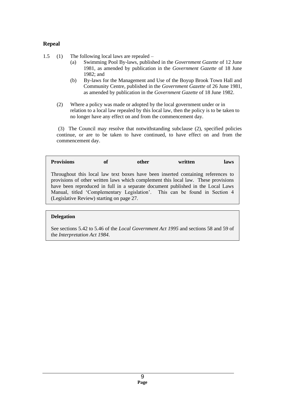# **Repeal**

1.5 (1) The following local laws are repealed –

- (a) Swimming Pool By-laws, published in the *Government Gazette* of 12 June 1981, as amended by publication in the *Government Gazette* of 18 June 1982; and
- (b) By-laws for the Management and Use of the Boyup Brook Town Hall and Community Centre, published in the *Government Gazette* of 26 June 1981, as amended by publication in the *Government Gazette* of 18 June 1982.
- (2) Where a policy was made or adopted by the local government under or in relation to a local law repealed by this local law, then the policy is to be taken to no longer have any effect on and from the commencement day.

(3) The Council may resolve that notwithstanding subclause (2), specified policies continue, or are to be taken to have continued, to have effect on and from the commencement day.

**Provisions of other written laws** Throughout this local law text boxes have been inserted containing references to provisions of other written laws which complement this local law. These provisions have been reproduced in full in a separate document published in the Local Laws Manual, titled 'Complementary Legislation'. This can be found in Section 4 (Legislative Review) starting on page 27.

# **Delegation**

See sections 5.42 to 5.46 of the *Local Government Act 1995* and sections 58 and 59 of the *Interpretation Act 1984*.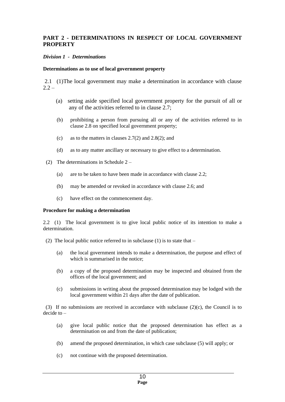# **PART 2 - DETERMINATIONS IN RESPECT OF LOCAL GOVERNMENT PROPERTY**

# *Division 1 - Determinations*

# **Determinations as to use of local government property**

2.1 (1)The local government may make a determination in accordance with clause  $2.2 -$ 

- (a) setting aside specified local government property for the pursuit of all or any of the activities referred to in clause 2.7;
- (b) prohibiting a person from pursuing all or any of the activities referred to in clause 2.8 on specified local government property;
- (c) as to the matters in clauses 2.7(2) and 2.8(2); and
- (d) as to any matter ancillary or necessary to give effect to a determination.
- (2) The determinations in Schedule 2
	- (a) are to be taken to have been made in accordance with clause 2.2;
	- (b) may be amended or revoked in accordance with clause 2.6; and
	- (c) have effect on the commencement day.

# **Procedure for making a determination**

2.2 (1) The local government is to give local public notice of its intention to make a determination.

- (2) The local public notice referred to in subclause (1) is to state that  $-$ 
	- (a) the local government intends to make a determination, the purpose and effect of which is summarised in the notice:
	- (b) a copy of the proposed determination may be inspected and obtained from the offices of the local government; and
	- (c) submissions in writing about the proposed determination may be lodged with the local government within 21 days after the date of publication.

(3) If no submissions are received in accordance with subclause  $(2)(c)$ , the Council is to decide to –

- (a) give local public notice that the proposed determination has effect as a determination on and from the date of publication;
- (b) amend the proposed determination, in which case subclause (5) will apply; or
- (c) not continue with the proposed determination.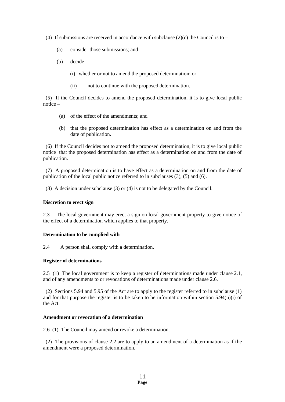- (4) If submissions are received in accordance with subclause (2)(c) the Council is to
	- (a) consider those submissions; and
	- (b) decide
		- (i) whether or not to amend the proposed determination; or
		- (ii) not to continue with the proposed determination.

 (5) If the Council decides to amend the proposed determination, it is to give local public notice –

- (a) of the effect of the amendments; and
- (b) that the proposed determination has effect as a determination on and from the date of publication.

 (6) If the Council decides not to amend the proposed determination, it is to give local public notice that the proposed determination has effect as a determination on and from the date of publication.

 (7) A proposed determination is to have effect as a determination on and from the date of publication of the local public notice referred to in subclauses (3), (5) and (6).

(8) A decision under subclause (3) or (4) is not to be delegated by the Council.

# **Discretion to erect sign**

2.3 The local government may erect a sign on local government property to give notice of the effect of a determination which applies to that property.

# **Determination to be complied with**

2.4 A person shall comply with a determination.

# **Register of determinations**

2.5 (1) The local government is to keep a register of determinations made under clause 2.1, and of any amendments to or revocations of determinations made under clause 2.6.

 (2) Sections 5.94 and 5.95 of the Act are to apply to the register referred to in subclause (1) and for that purpose the register is to be taken to be information within section  $5.94(u)(i)$  of the Act.

# **Amendment or revocation of a determination**

2.6 (1) The Council may amend or revoke a determination.

 (2) The provisions of clause 2.2 are to apply to an amendment of a determination as if the amendment were a proposed determination.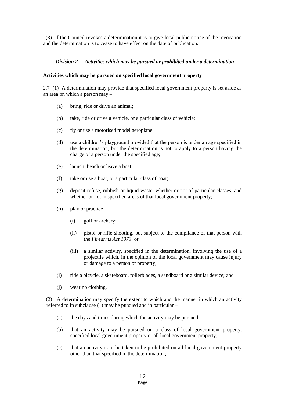(3) If the Council revokes a determination it is to give local public notice of the revocation and the determination is to cease to have effect on the date of publication.

# *Division 2 - Activities which may be pursued or prohibited under a determination*

#### **Activities which may be pursued on specified local government property**

2.7 (1) A determination may provide that specified local government property is set aside as an area on which a person may –

- (a) bring, ride or drive an animal;
- (b) take, ride or drive a vehicle, or a particular class of vehicle;
- (c) fly or use a motorised model aeroplane;
- (d) use a children's playground provided that the person is under an age specified in the determination, but the determination is not to apply to a person having the charge of a person under the specified age;
- (e) launch, beach or leave a boat;
- (f) take or use a boat, or a particular class of boat;
- (g) deposit refuse, rubbish or liquid waste, whether or not of particular classes, and whether or not in specified areas of that local government property;
- (h) play or practice
	- (i) golf or archery;
	- (ii) pistol or rifle shooting, but subject to the compliance of that person with the *Firearms Act 1973*; or
	- (iii) a similar activity, specified in the determination, involving the use of a projectile which, in the opinion of the local government may cause injury or damage to a person or property;
- (i) ride a bicycle, a skateboard, rollerblades, a sandboard or a similar device; and
- (j) wear no clothing.

(2) A determination may specify the extent to which and the manner in which an activity referred to in subclause (1) may be pursued and in particular –

- (a) the days and times during which the activity may be pursued;
- (b) that an activity may be pursued on a class of local government property, specified local government property or all local government property;
- (c) that an activity is to be taken to be prohibited on all local government property other than that specified in the determination;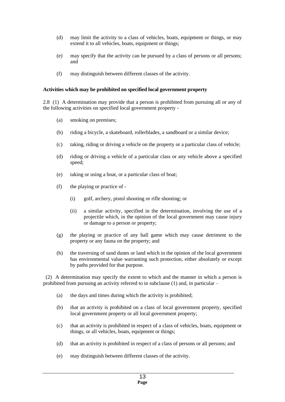- (d) may limit the activity to a class of vehicles, boats, equipment or things, or may extend it to all vehicles, boats, equipment or things;
- (e) may specify that the activity can be pursued by a class of persons or all persons; and
- (f) may distinguish between different classes of the activity.

#### **Activities which may be prohibited on specified local government property**

2.8 (1) A determination may provide that a person is prohibited from pursuing all or any of the following activities on specified local government property -

- (a) smoking on premises;
- (b) riding a bicycle, a skateboard, rollerblades, a sandboard or a similar device;
- (c) taking, riding or driving a vehicle on the property or a particular class of vehicle;
- (d) riding or driving a vehicle of a particular class or any vehicle above a specified speed;
- (e) taking or using a boat, or a particular class of boat;
- (f) the playing or practice of
	- (i) golf, archery, pistol shooting or rifle shooting; or
	- (ii) a similar activity, specified in the determination, involving the use of a projectile which, in the opinion of the local government may cause injury or damage to a person or property;
- (g) the playing or practice of any ball game which may cause detriment to the property or any fauna on the property; and
- (h) the traversing of sand dunes or land which in the opinion of the local government has environmental value warranting such protection, either absolutely or except by paths provided for that purpose.

 (2) A determination may specify the extent to which and the manner in which a person is prohibited from pursuing an activity referred to in subclause (1) and, in particular –

- (a) the days and times during which the activity is prohibited;
- (b) that an activity is prohibited on a class of local government property, specified local government property or all local government property;
- (c) that an activity is prohibited in respect of a class of vehicles, boats, equipment or things, or all vehicles, boats, equipment or things;
- (d) that an activity is prohibited in respect of a class of persons or all persons; and
- (e) may distinguish between different classes of the activity.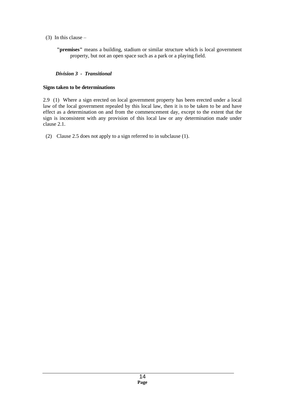- (3) In this clause
	- **"premises"** means a building, stadium or similar structure which is local government property, but not an open space such as a park or a playing field.

# *Division 3 - Transitional*

#### **Signs taken to be determinations**

2.9 (1) Where a sign erected on local government property has been erected under a local law of the local government repealed by this local law, then it is to be taken to be and have effect as a determination on and from the commencement day, except to the extent that the sign is inconsistent with any provision of this local law or any determination made under clause 2.1.

(2) Clause 2.5 does not apply to a sign referred to in subclause (1).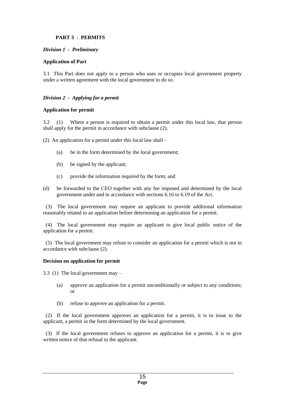# **PART 3 - PERMITS**

# *Division 1 - Preliminary*

# **Application of Part**

3.1 This Part does not apply to a person who uses or occupies local government property under a written agreement with the local government to do so.

# *Division 2 - Applying for a permit*

# **Application for permit**

3.2 (1) Where a person is required to obtain a permit under this local law, that person shall apply for the permit in accordance with subclause (2).

(2) An application for a permit under this local law shall -

- (a) be in the form determined by the local government;
- (b) be signed by the applicant;
- (c) provide the information required by the form; and
- (d) be forwarded to the CEO together with any fee imposed and determined by the local government under and in accordance with sections 6.16 to 6.19 of the Act.

 (3) The local government may require an applicant to provide additional information reasonably related to an application before determining an application for a permit.

 (4) The local government may require an applicant to give local public notice of the application for a permit.

 (5) The local government may refuse to consider an application for a permit which is not in accordance with subclause (2).

# **Decision on application for permit**

3.3 (1) The local government may –

- (a) approve an application for a permit unconditionally or subject to any conditions; or
- (b) refuse to approve an application for a permit.

 (2) If the local government approves an application for a permit, it is to issue to the applicant, a permit in the form determined by the local government.

 (3) If the local government refuses to approve an application for a permit, it is to give written notice of that refusal to the applicant.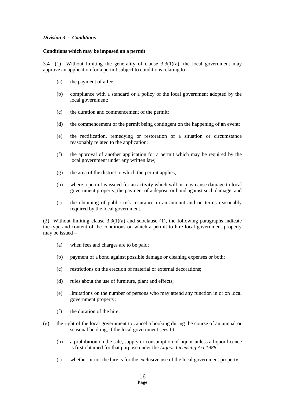# *Division 3 - Conditions*

#### **Conditions which may be imposed on a permit**

3.4 (1) Without limiting the generality of clause  $3.3(1)(a)$ , the local government may approve an application for a permit subject to conditions relating to -

- (a) the payment of a fee;
- (b) compliance with a standard or a policy of the local government adopted by the local government;
- (c) the duration and commencement of the permit;
- (d) the commencement of the permit being contingent on the happening of an event;
- (e) the rectification, remedying or restoration of a situation or circumstance reasonably related to the application;
- (f) the approval of another application for a permit which may be required by the local government under any written law;
- (g) the area of the district to which the permit applies;
- (h) where a permit is issued for an activity which will or may cause damage to local government property, the payment of a deposit or bond against such damage; and
- (i) the obtaining of public risk insurance in an amount and on terms reasonably required by the local government.

(2) Without limiting clause 3.3(1)(a) and subclause (1), the following paragraphs indicate the type and content of the conditions on which a permit to hire local government property may be issued –

- (a) when fees and charges are to be paid;
- (b) payment of a bond against possible damage or cleaning expenses or both;
- (c) restrictions on the erection of material or external decorations;
- (d) rules about the use of furniture, plant and effects;
- (e) limitations on the number of persons who may attend any function in or on local government property;
- (f) the duration of the hire;
- (g) the right of the local government to cancel a booking during the course of an annual or seasonal booking, if the local government sees fit;
	- (h) a prohibition on the sale, supply or consumption of liquor unless a liquor licence is first obtained for that purpose under the *Liquor Licensing Act 1988*;
	- (i) whether or not the hire is for the exclusive use of the local government property;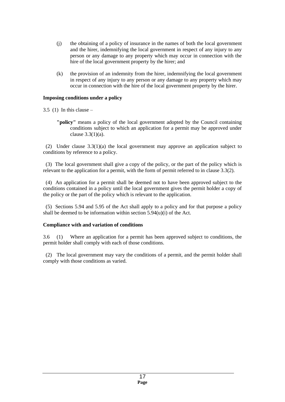- (j) the obtaining of a policy of insurance in the names of both the local government and the hirer, indemnifying the local government in respect of any injury to any person or any damage to any property which may occur in connection with the hire of the local government property by the hirer; and
- (k) the provision of an indemnity from the hirer, indemnifying the local government in respect of any injury to any person or any damage to any property which may occur in connection with the hire of the local government property by the hirer.

# **Imposing conditions under a policy**

 $3.5$  (1) In this clause –

**"policy"** means a policy of the local government adopted by the Council containing conditions subject to which an application for a permit may be approved under clause 3.3(1)(a).

 (2) Under clause 3.3(1)(a) the local government may approve an application subject to conditions by reference to a policy.

 (3) The local government shall give a copy of the policy, or the part of the policy which is relevant to the application for a permit, with the form of permit referred to in clause 3.3(2).

 (4) An application for a permit shall be deemed not to have been approved subject to the conditions contained in a policy until the local government gives the permit holder a copy of the policy or the part of the policy which is relevant to the application.

 (5) Sections 5.94 and 5.95 of the Act shall apply to a policy and for that purpose a policy shall be deemed to be information within section 5.94(u)(i) of the Act.

# **Compliance with and variation of conditions**

3.6 (1) Where an application for a permit has been approved subject to conditions, the permit holder shall comply with each of those conditions.

 (2) The local government may vary the conditions of a permit, and the permit holder shall comply with those conditions as varied.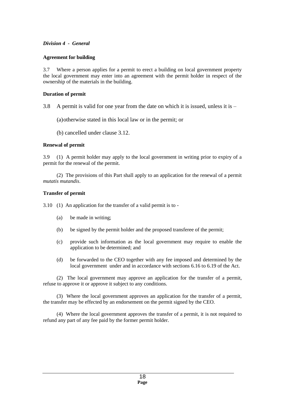# *Division 4 - General*

# **Agreement for building**

3.7 Where a person applies for a permit to erect a building on local government property the local government may enter into an agreement with the permit holder in respect of the ownership of the materials in the building.

# **Duration of permit**

- 3.8 A permit is valid for one year from the date on which it is issued, unless it is  $-$ 
	- (a)otherwise stated in this local law or in the permit; or
	- (b) cancelled under clause 3.12.

# **Renewal of permit**

3.9 (1) A permit holder may apply to the local government in writing prior to expiry of a permit for the renewal of the permit.

 (2) The provisions of this Part shall apply to an application for the renewal of a permit *mutatis mutandis*.

# **Transfer of permit**

3.10 (1) An application for the transfer of a valid permit is to -

- (a) be made in writing;
- (b) be signed by the permit holder and the proposed transferee of the permit;
- (c) provide such information as the local government may require to enable the application to be determined; and
- (d) be forwarded to the CEO together with any fee imposed and determined by the local government under and in accordance with sections 6.16 to 6.19 of the Act.

 (2) The local government may approve an application for the transfer of a permit, refuse to approve it or approve it subject to any conditions.

(3) Where the local government approves an application for the transfer of a permit, the transfer may be effected by an endorsement on the permit signed by the CEO.

 (4) Where the local government approves the transfer of a permit, it is not required to refund any part of any fee paid by the former permit holder.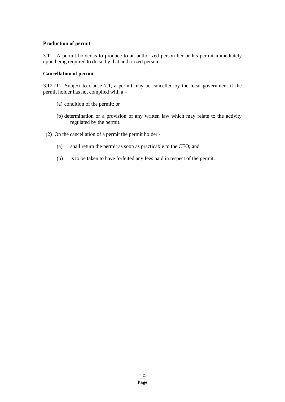# **Production of permit**

3.11 A permit holder is to produce to an authorized person her or his permit immediately upon being required to do so by that authorized person.

# **Cancellation of permit**

3.12 (1) Subject to clause 7.1, a permit may be cancelled by the local government if the permit holder has not complied with a –

- (a) condition of the permit; or
- (b) determination or a provision of any written law which may relate to the activity regulated by the permit.
- (2) On the cancellation of a permit the permit holder
	- (a) shall return the permit as soon as practicable to the CEO; and
	- (b) is to be taken to have forfeited any fees paid in respect of the permit.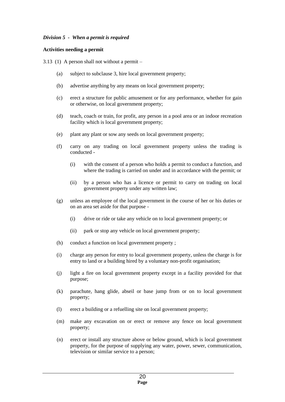# *Division 5 - When a permit is required*

# **Activities needing a permit**

3.13 (1) A person shall not without a permit –

- (a) subject to subclause 3, hire local government property;
- (b) advertise anything by any means on local government property;
- (c) erect a structure for public amusement or for any performance, whether for gain or otherwise, on local government property;
- (d) teach, coach or train, for profit, any person in a pool area or an indoor recreation facility which is local government property;
- (e) plant any plant or sow any seeds on local government property;
- (f) carry on any trading on local government property unless the trading is conducted -
	- (i) with the consent of a person who holds a permit to conduct a function, and where the trading is carried on under and in accordance with the permit; or
	- (ii) by a person who has a licence or permit to carry on trading on local government property under any written law;
- (g) unless an employee of the local government in the course of her or his duties or on an area set aside for that purpose -
	- (i) drive or ride or take any vehicle on to local government property; or
	- (ii) park or stop any vehicle on local government property;
- (h) conduct a function on local government property ;
- (i) charge any person for entry to local government property, unless the charge is for entry to land or a building hired by a voluntary non-profit organisation;
- (j) light a fire on local government property except in a facility provided for that purpose;
- (k) parachute, hang glide, abseil or base jump from or on to local government property;
- (l) erect a building or a refuelling site on local government property;
- (m) make any excavation on or erect or remove any fence on local government property;
- (n) erect or install any structure above or below ground, which is local government property, for the purpose of supplying any water, power, sewer, communication, television or similar service to a person;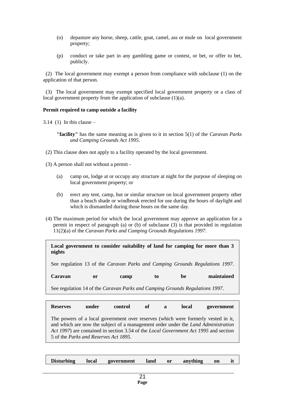- (o) depasture any horse, sheep, cattle, goat, camel, ass or mule on local government property;
- (p) conduct or take part in any gambling game or contest, or bet, or offer to bet, publicly.

 (2) The local government may exempt a person from compliance with subclause (1) on the application of that person.

 (3) The local government may exempt specified local government property or a class of local government property from the application of subclause (1)(a).

#### **Permit required to camp outside a facility**

 $3.14$  (1) In this clause –

**"facility"** has the same meaning as is given to it in section 5(1) of the *Caravan Parks and Camping Grounds Act 1995*.

- (2) This clause does not apply to a facility operated by the local government.
- (3) A person shall not without a permit
	- (a) camp on, lodge at or occupy any structure at night for the purpose of sleeping on local government property; or
	- (b) erect any tent, camp, hut or similar structure on local government property other than a beach shade or windbreak erected for use during the hours of daylight and which is dismantled during those hours on the same day.
- (4) The maximum period for which the local government may approve an application for a permit in respect of paragraph (a) or (b) of subclause (3) is that provided in regulation 11(2)(a) of the *Caravan Parks and Camping Grounds Regulations 1997*.

| nights                                                                       |    |      |    |    | Local government to consider suitability of land for camping for more than 3 |  |  |
|------------------------------------------------------------------------------|----|------|----|----|------------------------------------------------------------------------------|--|--|
| See regulation 13 of the Caravan Parks and Camping Grounds Regulations 1997. |    |      |    |    |                                                                              |  |  |
| Caravan                                                                      | or | camp | to | be | maintained                                                                   |  |  |
| See regulation 14 of the Caravan Parks and Camping Grounds Regulations 1997. |    |      |    |    |                                                                              |  |  |

| <b>Reserves</b>                               | under | control | ∖of | a | local | government                                                                                                                                                                                                                                                            |
|-----------------------------------------------|-------|---------|-----|---|-------|-----------------------------------------------------------------------------------------------------------------------------------------------------------------------------------------------------------------------------------------------------------------------|
| 5 of the <i>Parks and Reserves Act 1895</i> . |       |         |     |   |       | The powers of a local government over reserves (which were formerly vested in it,<br>and which are now the subject of a management order under the <i>Land Administration</i><br>Act 1997) are contained in section 3.54 of the Local Government Act 1995 and section |

| <b>Disturbing</b> | local | government | land | <b>or</b> | anything | on |  |
|-------------------|-------|------------|------|-----------|----------|----|--|
|                   |       |            |      |           |          |    |  |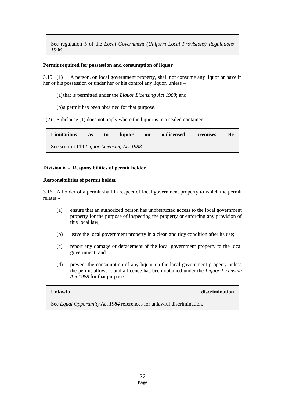See regulation 5 of the *Local Government (Uniform Local Provisions) Regulations 1996*.

# **Permit required for possession and consumption of liquor**

3.15 (1) A person, on local government property, shall not consume any liquor or have in her or his possession or under her or his control any liquor, unless –

- (a) that is permitted under the *Liquor Licensing Act 1988*; and
- (b)a permit has been obtained for that purpose.
- (2) Subclause (1) does not apply where the liquor is in a sealed container.

| <b>Limitations</b>                         | as | to | liquor | on | unlicensed | premises | etc |
|--------------------------------------------|----|----|--------|----|------------|----------|-----|
| See section 119 Liquor Licensing Act 1988. |    |    |        |    |            |          |     |

# **Division 6 - Responsibilities of permit holder**

#### **Responsibilities of permit holder**

3.16 A holder of a permit shall in respect of local government property to which the permit relates -

- (a) ensure that an authorized person has unobstructed access to the local government property for the purpose of inspecting the property or enforcing any provision of this local law;
- (b) leave the local government property in a clean and tidy condition after its use;
- (c) report any damage or defacement of the local government property to the local government; and
- (d) prevent the consumption of any liquor on the local government property unless the permit allows it and a licence has been obtained under the *Liquor Licensing Act 1988* for that purpose.

# **Unlawful discrimination** discrimination

See *Equal Opportunity Act 1984* references for unlawful discrimination.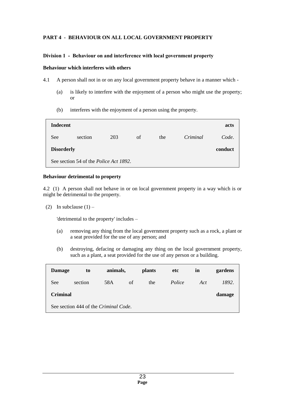# **PART 4 - BEHAVIOUR ON ALL LOCAL GOVERNMENT PROPERTY**

# **Division 1 - Behaviour on and interference with local government property**

# **Behaviour which interferes with others**

4.1 A person shall not in or on any local government property behave in a manner which -

- (a) is likely to interfere with the enjoyment of a person who might use the property; or
- (b) interferes with the enjoyment of a person using the property.

| <b>Indecent</b>                                |         |     |    |     |          | acts    |  |
|------------------------------------------------|---------|-----|----|-----|----------|---------|--|
| See                                            | section | 203 | of | the | Criminal | Code.   |  |
| <b>Disorderly</b>                              |         |     |    |     |          | conduct |  |
| See section 54 of the <i>Police Act 1892</i> . |         |     |    |     |          |         |  |

#### **Behaviour detrimental to property**

4.2 (1) A person shall not behave in or on local government property in a way which is or might be detrimental to the property.

(2) In subclause  $(1)$  –

'detrimental to the property' includes –

- (a) removing any thing from the local government property such as a rock, a plant or a seat provided for the use of any person; and
- (b) destroying, defacing or damaging any thing on the local government property, such as a plant, a seat provided for the use of any person or a building.

| <b>Damage</b>                         | to      | animals, |    | <b>plants</b> | etc    | in  | gardens |  |
|---------------------------------------|---------|----------|----|---------------|--------|-----|---------|--|
| See                                   | section | 58A      | of | the           | Police | Act | 1892.   |  |
| <b>Criminal</b><br>damage             |         |          |    |               |        |     |         |  |
| See section 444 of the Criminal Code. |         |          |    |               |        |     |         |  |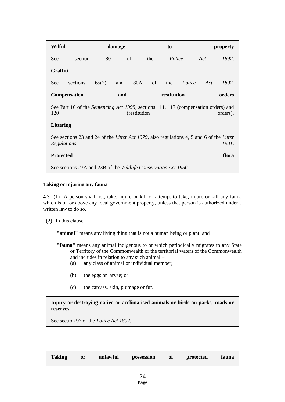| <b>Wilful</b>    |                                                                                                                          |       | damage |     |             | to     |        |        | property |  |
|------------------|--------------------------------------------------------------------------------------------------------------------------|-------|--------|-----|-------------|--------|--------|--------|----------|--|
| See:             | section                                                                                                                  | 80    | of     |     | the         | Police |        | Act    | 1892.    |  |
| Graffiti         |                                                                                                                          |       |        |     |             |        |        |        |          |  |
| See              | sections                                                                                                                 | 65(2) | and    | 80A | of          | the    | Police | Act    | 1892.    |  |
|                  | <b>Compensation</b>                                                                                                      | and   |        |     | restitution |        |        | orders |          |  |
| 120              | See Part 16 of the <i>Sentencing Act 1995</i> , sections 111, 117 (compensation orders) and<br>(restitution)<br>orders). |       |        |     |             |        |        |        |          |  |
| <b>Littering</b> |                                                                                                                          |       |        |     |             |        |        |        |          |  |
| Regulations      | See sections 23 and 24 of the <i>Litter Act 1979</i> , also regulations 4, 5 and 6 of the <i>Litter</i>                  |       |        |     |             |        |        |        | 1981.    |  |
| <b>Protected</b> |                                                                                                                          |       |        |     |             |        |        |        | flora    |  |
|                  | See sections 23A and 23B of the Wildlife Conservation Act 1950.                                                          |       |        |     |             |        |        |        |          |  |

# **Taking or injuring any fauna**

4.3 (1) A person shall not, take, injure or kill or attempt to take, injure or kill any fauna which is on or above any local government property, unless that person is authorized under a written law to do so.

(2) In this clause  $-$ 

**"animal"** means any living thing that is not a human being or plant; and

- **"fauna"** means any animal indigenous to or which periodically migrates to any State or Territory of the Commonwealth or the territorial waters of the Commonwealth and includes in relation to any such animal –
	- (a) any class of animal or individual member;
	- (b) the eggs or larvae; or
	- (c) the carcass, skin, plumage or fur.

**Injury or destroying native or acclimatised animals or birds on parks, roads or reserves**

See section 97 of the *Police Act 1892*.

| <b>Taking</b> | or | unlawful | possession | of | protected | fauna |
|---------------|----|----------|------------|----|-----------|-------|
|---------------|----|----------|------------|----|-----------|-------|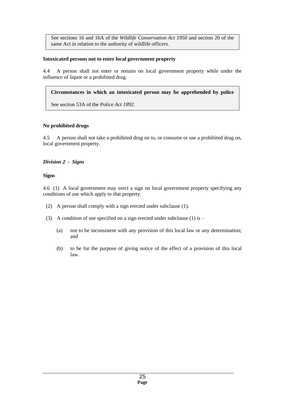See sections 16 and 16A of the *Wildlife Conservation Act 1950* and section 20 of the same Act in relation to the authority of wildlife officers.

# **Intoxicated persons not to enter local government property**

4.4 A person shall not enter or remain on local government property while under the influence of liquor or a prohibited drug.

# **Circumstances in which an intoxicated person may be apprehended by police**

See section 53A of the *Police Act 1892*.

# **No prohibited drugs**

4.5 A person shall not take a prohibited drug on to, or consume or use a prohibited drug on, local government property.

# *Division 2 - Signs*

# **Signs**

4.6 (1) A local government may erect a sign on local government property specifying any conditions of use which apply to that property.

- (2) A person shall comply with a sign erected under subclause (1).
- (3) A condition of use specified on a sign erected under subclause (1) is  $-$ 
	- (a) not to be inconsistent with any provision of this local law or any determination; and
	- (b) to be for the purpose of giving notice of the effect of a provision of this local law.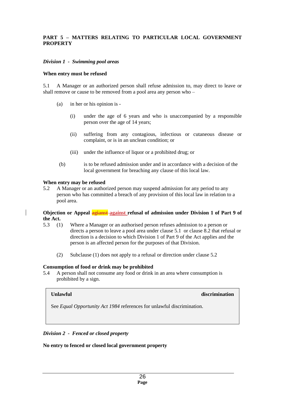#### **PART 5 – MATTERS RELATING TO PARTICULAR LOCAL GOVERNMENT PROPERTY**

#### *Division 1 - Swimming pool areas*

#### **When entry must be refused**

5.1 A Manager or an authorized person shall refuse admission to, may direct to leave or shall remove or cause to be removed from a pool area any person who –

- (a) in her or his opinion is
	- (i) under the age of 6 years and who is unaccompanied by a responsible person over the age of 14 years;
	- (ii) suffering from any contagious, infectious or cutaneous disease or complaint, or is in an unclean condition; or
	- (iii) under the influence of liquor or a prohibited drug; or
- (b) is to be refused admission under and in accordance with a decision of the local government for breaching any clause of this local law.

#### **When entry may be refused**

5.2 A Manager or an authorized person may suspend admission for any period to any person who has committed a breach of any provision of this local law in relation to a pool area.

#### **Objection or Appeal agianst against refusal of admission under Division 1 of Part 9 of the Act.**

- 5.3 (1) Where a Manager or an authorised person refuses admission to a person or directs a person to leave a pool area under clause 5.1 or clause 8.2 that refusal or direction is a decision to which Division 1 of Part 9 of the Act applies and the person is an affected person for the purposes of that Division.
	- (2) Subclause (1) does not apply to a refusal or direction under clause 5.2

#### **Consumption of food or drink may be prohibited**

5.4 A person shall not consume any food or drink in an area where consumption is prohibited by a sign.

#### **Unlawful discrimination**

See *Equal Opportunity Act 1984* references for unlawful discrimination.

# *Division 2 - Fenced or closed property*

#### **No entry to fenced or closed local government property**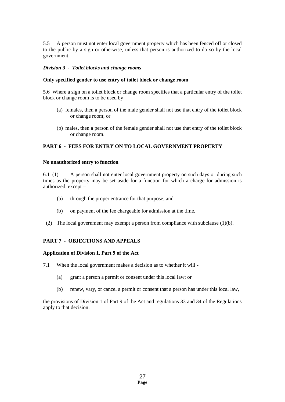5.5 A person must not enter local government property which has been fenced off or closed to the public by a sign or otherwise, unless that person is authorized to do so by the local government.

# *Division 3 - Toilet blocks and change rooms*

# **Only specified gender to use entry of toilet block or change room**

5.6 Where a sign on a toilet block or change room specifies that a particular entry of the toilet block or change room is to be used by –

- (a) females, then a person of the male gender shall not use that entry of the toilet block or change room; or
- (b) males, then a person of the female gender shall not use that entry of the toilet block or change room.

# **PART 6 - FEES FOR ENTRY ON TO LOCAL GOVERNMENT PROPERTY**

#### **No unauthorized entry to function**

6.1 (1) A person shall not enter local government property on such days or during such times as the property may be set aside for a function for which a charge for admission is authorized, except –

- (a) through the proper entrance for that purpose; and
- (b) on payment of the fee chargeable for admission at the time.
- (2) The local government may exempt a person from compliance with subclause (1)(b).

# **PART 7 - OBJECTIONS AND APPEALS**

# **Application of Division 1, Part 9 of the Act**

7.1 When the local government makes a decision as to whether it will -

- (a) grant a person a permit or consent under this local law; or
- (b) renew, vary, or cancel a permit or consent that a person has under this local law,

the provisions of Division 1 of Part 9 of the Act and regulations 33 and 34 of the Regulations apply to that decision.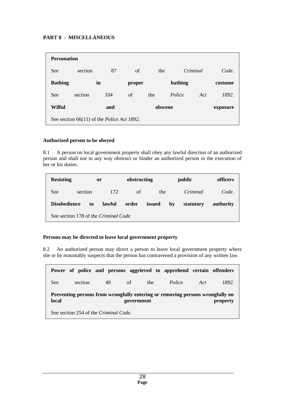# **PART 8 - MISCELLANEOUS**

| <b>Personation</b>                                 |         |     |        |         |         |          |          |  |
|----------------------------------------------------|---------|-----|--------|---------|---------|----------|----------|--|
| See                                                | section | 87  | of     | the     |         | Criminal | Code.    |  |
| <b>Bathing</b>                                     |         | in  | proper |         | bathing |          | costume  |  |
| See                                                | section | 104 | of     | the     | Police  | Act      | 1892.    |  |
| <b>Wilful</b>                                      |         | and |        | obscene |         |          | exposure |  |
| See section 66(11) of the <i>Police Act 1892</i> . |         |     |        |         |         |          |          |  |

# **Authorized person to be obeyed**

8.1 A person on local government property shall obey any lawful direction of an authorized person and shall not in any way obstruct or hinder an authorized person in the execution of her or his duties.

| <b>Resisting</b>                      | <b>or</b> |    | obstructing |       |        | public | officers  |           |
|---------------------------------------|-----------|----|-------------|-------|--------|--------|-----------|-----------|
| See                                   | section   |    | 172         | of    | the    |        | Criminal  | Code.     |
| <b>Disobedience</b>                   |           | to | lawful      | order | issued | by     | statutory | authority |
| See section 178 of the Criminal Code. |           |    |             |       |        |        |           |           |

# **Persons may be directed to leave local government property**

8.2 An authorized person may direct a person to leave local government property where she or he reasonably suspects that the person has contravened a provision of any written law.

|                                                                                                                  |         |    |           | Power of police and persons aggrieved to apprehend certain offenders |     |       |  |  |
|------------------------------------------------------------------------------------------------------------------|---------|----|-----------|----------------------------------------------------------------------|-----|-------|--|--|
| See.                                                                                                             | section | 49 | of<br>the | Police                                                               | Act | 1892. |  |  |
| Preventing persons from wrongfully entering or removing persons wrongfully on<br>local<br>government<br>property |         |    |           |                                                                      |     |       |  |  |
| See section 254 of the Criminal Code.                                                                            |         |    |           |                                                                      |     |       |  |  |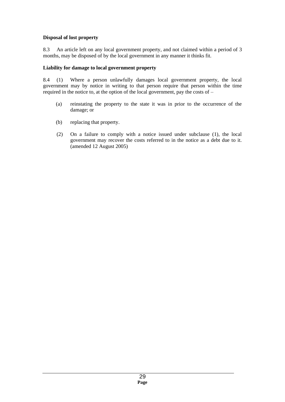# **Disposal of lost property**

8.3 An article left on any local government property, and not claimed within a period of 3 months, may be disposed of by the local government in any manner it thinks fit.

# **Liability for damage to local government property**

8.4 (1) Where a person unlawfully damages local government property, the local government may by notice in writing to that person require that person within the time required in the notice to, at the option of the local government, pay the costs of  $-$ 

- (a) reinstating the property to the state it was in prior to the occurrence of the damage; or
- (b) replacing that property.
- (2) On a failure to comply with a notice issued under subclause (1), the local government may recover the costs referred to in the notice as a debt due to it. (amended 12 August 2005)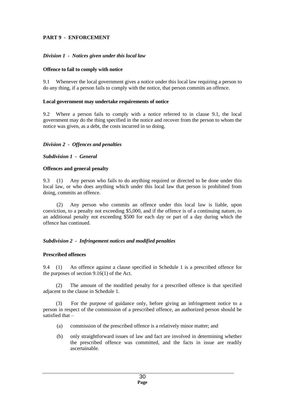# **PART 9 - ENFORCEMENT**

# *Division 1 - Notices given under this local law*

# **Offence to fail to comply with notice**

9.1 Whenever the local government gives a notice under this local law requiring a person to do any thing, if a person fails to comply with the notice, that person commits an offence.

# **Local government may undertake requirements of notice**

9.2 Where a person fails to comply with a notice referred to in clause 9.1, the local government may do the thing specified in the notice and recover from the person to whom the notice was given, as a debt, the costs incurred in so doing.

# *Division 2 - Offences and penalties*

*Subdivision 1 - General*

# **Offences and general penalty**

9.3 (1) Any person who fails to do anything required or directed to be done under this local law, or who does anything which under this local law that person is prohibited from doing, commits an offence.

 (2) Any person who commits an offence under this local law is liable, upon conviction, to a penalty not exceeding \$5,000, and if the offence is of a continuing nature, to an additional penalty not exceeding \$500 for each day or part of a day during which the offence has continued.

# *Subdivision 2 - Infringement notices and modified penalties*

# **Prescribed offences**

9.4 (1) An offence against a clause specified in Schedule 1 is a prescribed offence for the purposes of section 9.16(1) of the Act.

(2) The amount of the modified penalty for a prescribed offence is that specified adjacent to the clause in Schedule 1.

(3) For the purpose of guidance only, before giving an infringement notice to a person in respect of the commission of a prescribed offence, an authorized person should be satisfied that –

- (a) commission of the prescribed offence is a relatively minor matter; and
- (b) only straightforward issues of law and fact are involved in determining whether the prescribed offence was committed, and the facts in issue are readily ascertainable.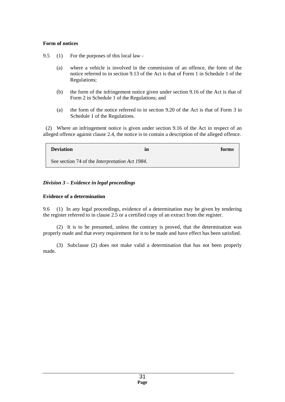# **Form of notices**

- 9.5 (1) For the purposes of this local law
	- (a) where a vehicle is involved in the commission of an offence, the form of the notice referred to in section 9.13 of the Act is that of Form 1 in Schedule 1 of the Regulations;
	- (b) the form of the infringement notice given under section 9.16 of the Act is that of Form 2 in Schedule 1 of the Regulations; and
	- (a) the form of the notice referred to in section 9.20 of the Act is that of Form 3 in Schedule 1 of the Regulations.

 (2) Where an infringement notice is given under section 9.16 of the Act in respect of an alleged offence against clause 2.4, the notice is to contain a description of the alleged offence.

| <b>Deviation</b>                                       | in | forms |
|--------------------------------------------------------|----|-------|
| See section 74 of the <i>Interpretation Act 1984</i> . |    |       |

# *Division 3 – Evidence in legal proceedings*

# **Evidence of a determination**

9.6 (1) In any legal proceedings, evidence of a determination may be given by tendering the register referred to in clause 2.5 or a certified copy of an extract from the register.

 (2) It is to be presumed, unless the contrary is proved, that the determination was properly made and that every requirement for it to be made and have effect has been satisfied.

 (3) Subclause (2) does not make valid a determination that has not been properly made.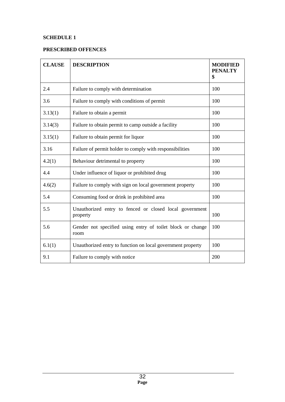# **SCHEDULE 1**

# **PRESCRIBED OFFENCES**

| <b>CLAUSE</b> | <b>DESCRIPTION</b>                                                  | <b>MODIFIED</b><br><b>PENALTY</b><br>\$ |
|---------------|---------------------------------------------------------------------|-----------------------------------------|
| 2.4           | Failure to comply with determination                                | 100                                     |
| 3.6           | Failure to comply with conditions of permit                         | 100                                     |
| 3.13(1)       | Failure to obtain a permit                                          | 100                                     |
| 3.14(3)       | Failure to obtain permit to camp outside a facility                 | 100                                     |
| 3.15(1)       | Failure to obtain permit for liquor                                 | 100                                     |
| 3.16          | Failure of permit holder to comply with responsibilities            | 100                                     |
| 4.2(1)        | Behaviour detrimental to property                                   | 100                                     |
| 4.4           | Under influence of liquor or prohibited drug                        | 100                                     |
| 4.6(2)        | Failure to comply with sign on local government property            | 100                                     |
| 5.4           | Consuming food or drink in prohibited area                          | 100                                     |
| 5.5           | Unauthorized entry to fenced or closed local government<br>property | 100                                     |
| 5.6           | Gender not specified using entry of toilet block or change<br>room  | 100                                     |
| 6.1(1)        | Unauthorized entry to function on local government property         | 100                                     |
| 9.1           | Failure to comply with notice                                       | 200                                     |